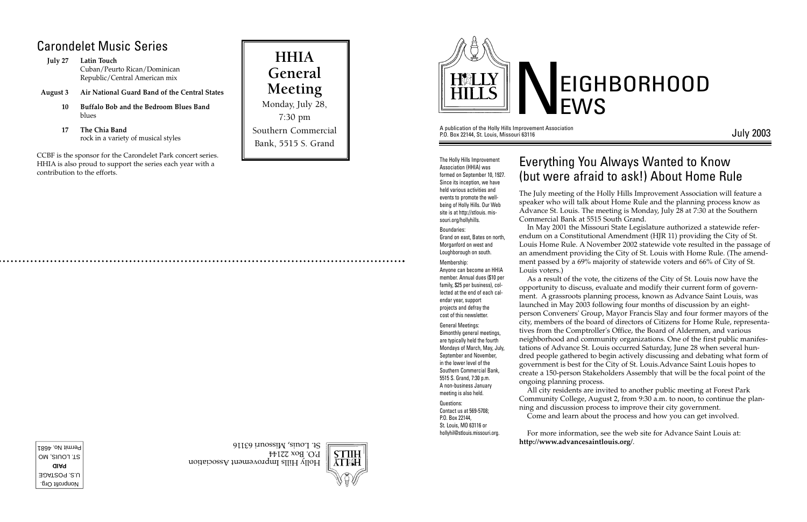A publication of the Holly Hills Improvement Association P.O. Box 22144, St. Louis, Missouri 63116

July 2003



# EIGHBORHOOD

The Holly Hills Improvement Association (HHIA) was formed on September 10, 1927. Since its inception, we have held various activities and events to promote the wellbeing of Holly Hills. Our Web site is at http://stlouis. missouri.org/hollyhills.

#### Boundaries:

Grand on east, Bates on north, Morganford on west and Loughborough on south.

Nonprofit Org. U.S. POSTAGE **PAID** ST. LOUIS, MO Permit No. 4681 Membership: Anyone can become an HHIA member. Annual dues (\$10 per family, \$25 per business), collected at the end of each calendar year, support projects and defray the cost of this newsletter.

General Meetings: Bimonthly general meetings, are typically held the fourth Mondays of March, May, July, September and November, in the lower level of the Southern Commercial Bank, 5515 S. Grand, 7:30 p.m. A non-business January meeting is also held.

Questions: Contact us at 569-5708; P.O. Box 22144, St. Louis, MO 63116 or hollyhil@stlouis.missouri.org.



STIIH **YLEH** 

Holly Hills Improvement Association

## Everything You Always Wanted to Know (but were afraid to ask!) About Home Rule

The July meeting of the Holly Hills Improvement Association will feature a speaker who will talk about Home Rule and the planning process know as Advance St. Louis. The meeting is Monday, July 28 at 7:30 at the Southern Commercial Bank at 5515 South Grand.

In May 2001 the Missouri State Legislature authorized a statewide referendum on a Constitutional Amendment (HJR 11) providing the City of St. Louis Home Rule. A November 2002 statewide vote resulted in the passage of an amendment providing the City of St. Louis with Home Rule. (The amendment passed by a 69% majority of statewide voters and 66% of City of St.

Louis voters.)

As a result of the vote, the citizens of the City of St. Louis now have the opportunity to discuss, evaluate and modify their current form of government. A grassroots planning process, known as Advance Saint Louis, was launched in May 2003 following four months of discussion by an eightperson Conveners' Group, Mayor Francis Slay and four former mayors of the city, members of the board of directors of Citizens for Home Rule, representatives from the Comptroller's Office, the Board of Aldermen, and various neighborhood and community organizations. One of the first public manifestations of Advance St. Louis occurred Saturday, June 28 when several hundred people gathered to begin actively discussing and debating what form of government is best for the City of St. Louis.Advance Saint Louis hopes to create a 150-person Stakeholders Assembly that will be the focal point of the ongoing planning process.

All city residents are invited to another public meeting at Forest Park Community College, August 2, from 9:30 a.m. to noon, to continue the planning and discussion process to improve their city government. Come and learn about the process and how you can get involved.

For more information, see the web site for Advance Saint Louis at: **http://www.advancesaintlouis.org/**.

## Carondelet Music Series

**July 27 Latin Touch** Cuban/Peurto Rican/Dominican Republic/Central American mix

- **August 3 Air National Guard Band of the Central States**
	- **10 Buffalo Bob and the Bedroom Blues Band** blues
	- **17 The Chia Band** rock in a variety of musical styles

CCBF is the sponsor for the Carondelet Park concert series. HHIA is also proud to support the series each year with a contribution to the efforts.